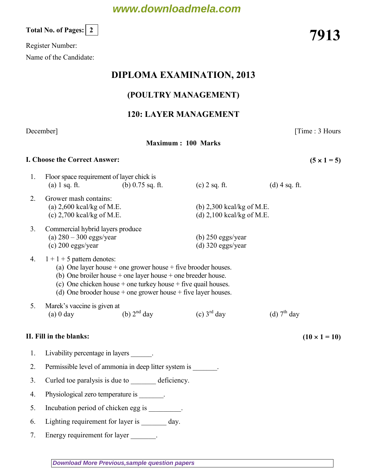# **www.downloadmela.com**

Register Number:

Name of the Candidate:

## DIPLOMA EXAMINATION, 2013

## (POULTRY MANAGEMENT)

## 120: LAYER MANAGEMENT

### December] [Time : 3 Hours

Maximum : 100 Marks

### I. Choose the Correct Answer:  $(5 \times 1 = 5)$

| 1.             | Floor space requirement of layer chick is<br>$(a)$ 1 sq. ft.                                                                                                                                                                                                                                                    | (b) $0.75$ sq. ft. | $(c)$ 2 sq. ft.                            | $(d)$ 4 sq. ft.                                            |  |  |
|----------------|-----------------------------------------------------------------------------------------------------------------------------------------------------------------------------------------------------------------------------------------------------------------------------------------------------------------|--------------------|--------------------------------------------|------------------------------------------------------------|--|--|
| 2.             | Grower mash contains:<br>(a) $2,600$ kcal/kg of M.E.<br>(c) $2,700$ kcal/kg of M.E.                                                                                                                                                                                                                             |                    |                                            | (b) $2,300$ kcal/kg of M.E.<br>(d) $2,100$ kcal/kg of M.E. |  |  |
| 3 <sub>1</sub> | Commercial hybrid layers produce<br>(a) $280 - 300$ eggs/year<br>$(c)$ 200 eggs/year                                                                                                                                                                                                                            |                    | (b) $250$ eggs/year<br>(d) $320$ eggs/year |                                                            |  |  |
| 4.             | $1 + 1 + 5$ pattern denotes:<br>(a) One layer house $+$ one grower house $+$ five brooder houses.<br>(b) One broiler house $+$ one layer house $+$ one breeder house.<br>(c) One chicken house $+$ one turkey house $+$ five quail houses.<br>(d) One brooder house $+$ one grower house $+$ five layer houses. |                    |                                            |                                                            |  |  |
| 5.             | Marek's vaccine is given at<br>$(a)$ 0 day                                                                                                                                                                                                                                                                      | (b) $2nd$ day      | (c) $3^{\text{rd}}$ day                    | (d) $7th$ day                                              |  |  |
|                | II. Fill in the blanks:                                                                                                                                                                                                                                                                                         |                    |                                            | $(10 \times 1 = 10)$                                       |  |  |
| 1.             | Livability percentage in layers _______.                                                                                                                                                                                                                                                                        |                    |                                            |                                                            |  |  |
| 2.             | Permissible level of ammonia in deep litter system is ________.                                                                                                                                                                                                                                                 |                    |                                            |                                                            |  |  |
| 3.             | Curled toe paralysis is due to _________ deficiency.                                                                                                                                                                                                                                                            |                    |                                            |                                                            |  |  |
| 4.             | Physiological zero temperature is ________.                                                                                                                                                                                                                                                                     |                    |                                            |                                                            |  |  |
| 5.             | Incubation period of chicken egg is ________.                                                                                                                                                                                                                                                                   |                    |                                            |                                                            |  |  |
| 6.             | Lighting requirement for layer is ________ day.                                                                                                                                                                                                                                                                 |                    |                                            |                                                            |  |  |
| 7.             | Energy requirement for layer                                                                                                                                                                                                                                                                                    |                    |                                            |                                                            |  |  |

Total No. of Pages:  $\lfloor 2 \rfloor$  7913